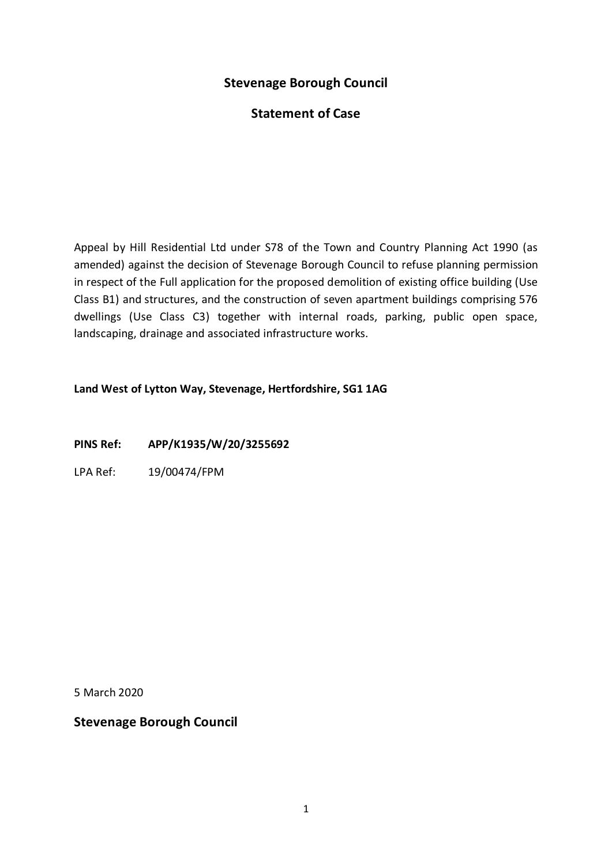# **Stevenage Borough Council**

# **Statement of Case**

Appeal by Hill Residential Ltd under S78 of the Town and Country Planning Act 1990 (as amended) against the decision of Stevenage Borough Council to refuse planning permission in respect of the Full application for the proposed demolition of existing office building (Use Class B1) and structures, and the construction of seven apartment buildings comprising 576 dwellings (Use Class C3) together with internal roads, parking, public open space, landscaping, drainage and associated infrastructure works.

#### **Land West of Lytton Way, Stevenage, Hertfordshire, SG1 1AG**

**PINS Ref: APP/K1935/W/20/3255692**

LPA Ref: 19/00474/FPM

5 March 2020

**Stevenage Borough Council**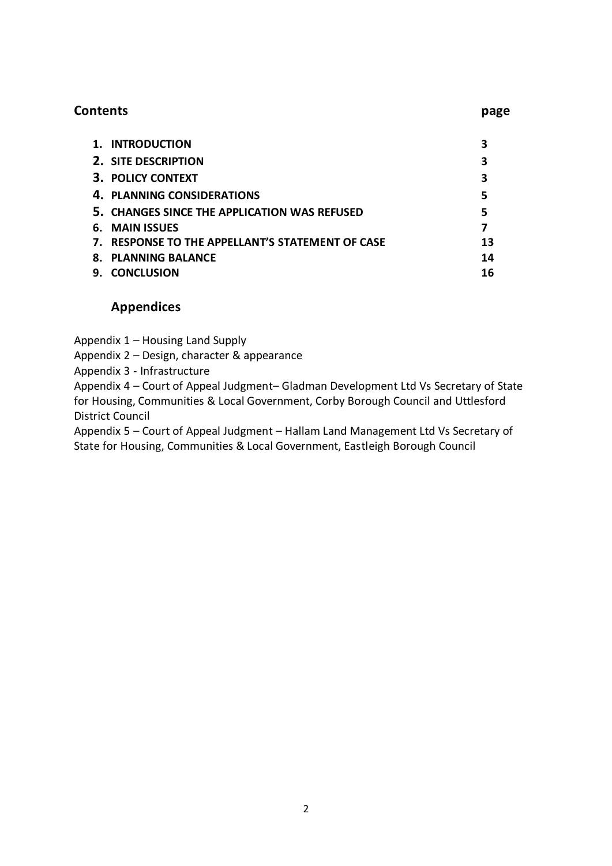| 1. INTRODUCTION                                  | 3  |
|--------------------------------------------------|----|
| <b>2. SITE DESCRIPTION</b>                       | 3  |
| <b>3. POLICY CONTEXT</b>                         | 3  |
| 4. PLANNING CONSIDERATIONS                       | 5  |
| 5. CHANGES SINCE THE APPLICATION WAS REFUSED     | 5  |
| 6. MAIN ISSUES                                   |    |
| 7. RESPONSE TO THE APPELLANT'S STATEMENT OF CASE | 13 |
| <b>8. PLANNING BALANCE</b>                       | 14 |
| <b>CONCLUSION</b><br>9.                          | 16 |

**Contents page**

## **Appendices**

Appendix 1 – Housing Land Supply

Appendix 2 – Design, character & appearance

Appendix 3 - Infrastructure

Appendix 4 – Court of Appeal Judgment– Gladman Development Ltd Vs Secretary of State for Housing, Communities & Local Government, Corby Borough Council and Uttlesford District Council

Appendix 5 – Court of Appeal Judgment – Hallam Land Management Ltd Vs Secretary of State for Housing, Communities & Local Government, Eastleigh Borough Council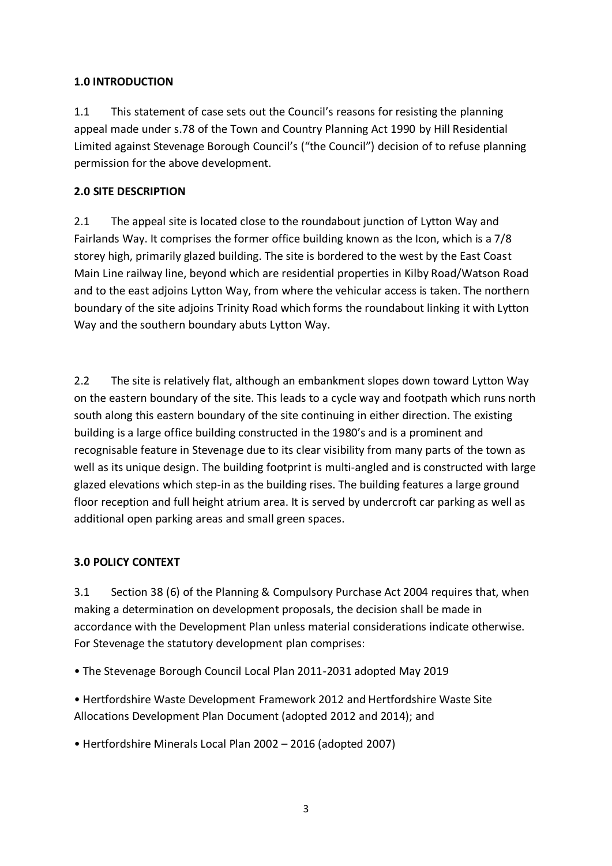## **1.0 INTRODUCTION**

1.1 This statement of case sets out the Council's reasons for resisting the planning appeal made under s.78 of the Town and Country Planning Act 1990 by Hill Residential Limited against Stevenage Borough Council's ("the Council") decision of to refuse planning permission for the above development.

## **2.0 SITE DESCRIPTION**

2.1 The appeal site is located close to the roundabout junction of Lytton Way and Fairlands Way. It comprises the former office building known as the Icon, which is a 7/8 storey high, primarily glazed building. The site is bordered to the west by the East Coast Main Line railway line, beyond which are residential properties in Kilby Road/Watson Road and to the east adjoins Lytton Way, from where the vehicular access is taken. The northern boundary of the site adjoins Trinity Road which forms the roundabout linking it with Lytton Way and the southern boundary abuts Lytton Way.

2.2 The site is relatively flat, although an embankment slopes down toward Lytton Way on the eastern boundary of the site. This leads to a cycle way and footpath which runs north south along this eastern boundary of the site continuing in either direction. The existing building is a large office building constructed in the 1980's and is a prominent and recognisable feature in Stevenage due to its clear visibility from many parts of the town as well as its unique design. The building footprint is multi-angled and is constructed with large glazed elevations which step-in as the building rises. The building features a large ground floor reception and full height atrium area. It is served by undercroft car parking as well as additional open parking areas and small green spaces.

## **3.0 POLICY CONTEXT**

3.1 Section 38 (6) of the Planning & Compulsory Purchase Act 2004 requires that, when making a determination on development proposals, the decision shall be made in accordance with the Development Plan unless material considerations indicate otherwise. For Stevenage the statutory development plan comprises:

• The Stevenage Borough Council Local Plan 2011-2031 adopted May 2019

• Hertfordshire Waste Development Framework 2012 and Hertfordshire Waste Site Allocations Development Plan Document (adopted 2012 and 2014); and

• Hertfordshire Minerals Local Plan 2002 – 2016 (adopted 2007)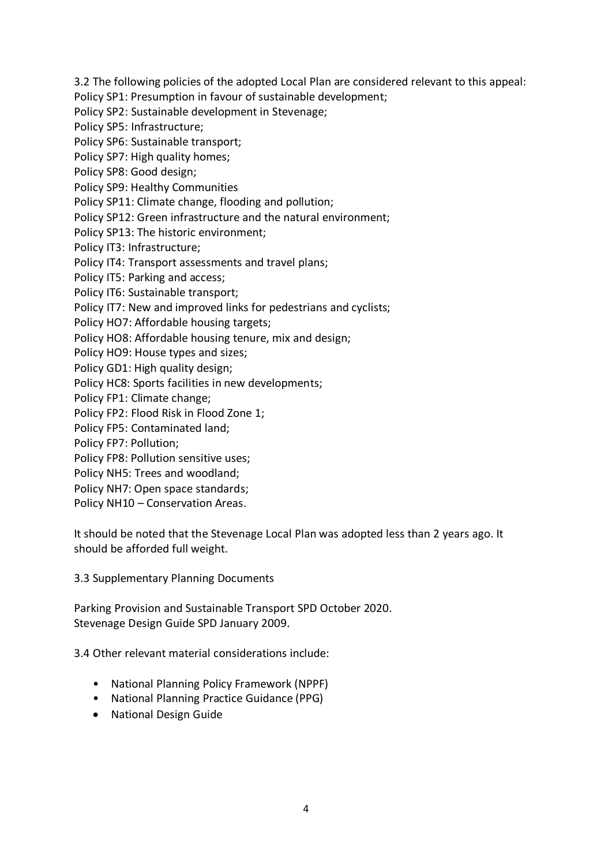3.2 The following policies of the adopted Local Plan are considered relevant to this appeal:

Policy SP1: Presumption in favour of sustainable development;

Policy SP2: Sustainable development in Stevenage;

Policy SP5: Infrastructure;

Policy SP6: Sustainable transport;

Policy SP7: High quality homes;

Policy SP8: Good design;

Policy SP9: Healthy Communities

Policy SP11: Climate change, flooding and pollution;

Policy SP12: Green infrastructure and the natural environment;

Policy SP13: The historic environment;

Policy IT3: Infrastructure;

Policy IT4: Transport assessments and travel plans;

Policy IT5: Parking and access;

Policy IT6: Sustainable transport;

Policy IT7: New and improved links for pedestrians and cyclists;

Policy HO7: Affordable housing targets;

Policy HO8: Affordable housing tenure, mix and design;

Policy HO9: House types and sizes;

Policy GD1: High quality design;

Policy HC8: Sports facilities in new developments;

Policy FP1: Climate change;

Policy FP2: Flood Risk in Flood Zone 1;

Policy FP5: Contaminated land;

Policy FP7: Pollution;

Policy FP8: Pollution sensitive uses;

Policy NH5: Trees and woodland;

Policy NH7: Open space standards;

Policy NH10 – Conservation Areas.

It should be noted that the Stevenage Local Plan was adopted less than 2 years ago. It should be afforded full weight.

3.3 Supplementary Planning Documents

Parking Provision and Sustainable Transport SPD October 2020. Stevenage Design Guide SPD January 2009.

3.4 Other relevant material considerations include:

- National Planning Policy Framework (NPPF)
- National Planning Practice Guidance (PPG)
- National Design Guide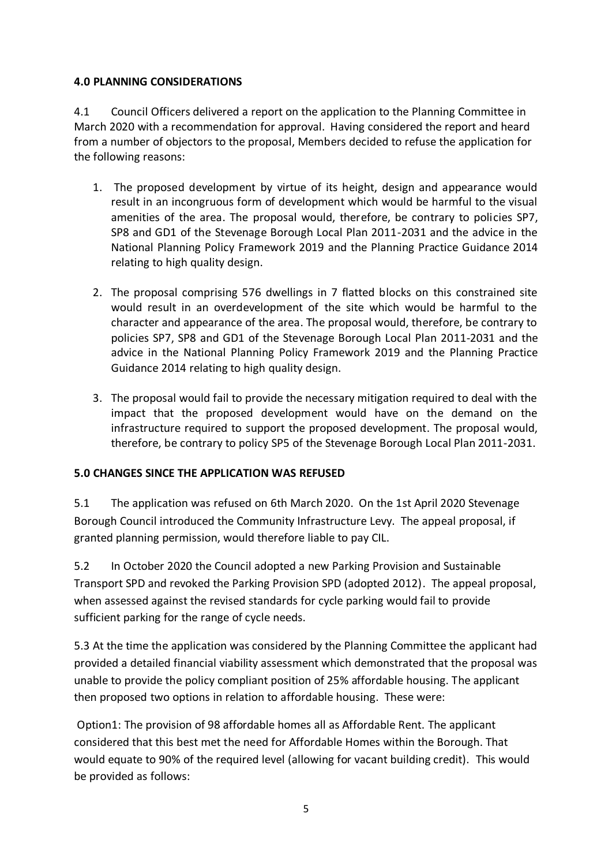### **4.0 PLANNING CONSIDERATIONS**

4.1 Council Officers delivered a report on the application to the Planning Committee in March 2020 with a recommendation for approval. Having considered the report and heard from a number of objectors to the proposal, Members decided to refuse the application for the following reasons:

- 1. The proposed development by virtue of its height, design and appearance would result in an incongruous form of development which would be harmful to the visual amenities of the area. The proposal would, therefore, be contrary to policies SP7, SP8 and GD1 of the Stevenage Borough Local Plan 2011-2031 and the advice in the National Planning Policy Framework 2019 and the Planning Practice Guidance 2014 relating to high quality design.
- 2. The proposal comprising 576 dwellings in 7 flatted blocks on this constrained site would result in an overdevelopment of the site which would be harmful to the character and appearance of the area. The proposal would, therefore, be contrary to policies SP7, SP8 and GD1 of the Stevenage Borough Local Plan 2011-2031 and the advice in the National Planning Policy Framework 2019 and the Planning Practice Guidance 2014 relating to high quality design.
- 3. The proposal would fail to provide the necessary mitigation required to deal with the impact that the proposed development would have on the demand on the infrastructure required to support the proposed development. The proposal would, therefore, be contrary to policy SP5 of the Stevenage Borough Local Plan 2011-2031.

## **5.0 CHANGES SINCE THE APPLICATION WAS REFUSED**

5.1 The application was refused on 6th March 2020. On the 1st April 2020 Stevenage Borough Council introduced the Community Infrastructure Levy. The appeal proposal, if granted planning permission, would therefore liable to pay CIL.

5.2 In October 2020 the Council adopted a new Parking Provision and Sustainable Transport SPD and revoked the Parking Provision SPD (adopted 2012). The appeal proposal, when assessed against the revised standards for cycle parking would fail to provide sufficient parking for the range of cycle needs.

5.3 At the time the application was considered by the Planning Committee the applicant had provided a detailed financial viability assessment which demonstrated that the proposal was unable to provide the policy compliant position of 25% affordable housing. The applicant then proposed two options in relation to affordable housing. These were:

Option1: The provision of 98 affordable homes all as Affordable Rent. The applicant considered that this best met the need for Affordable Homes within the Borough. That would equate to 90% of the required level (allowing for vacant building credit). This would be provided as follows: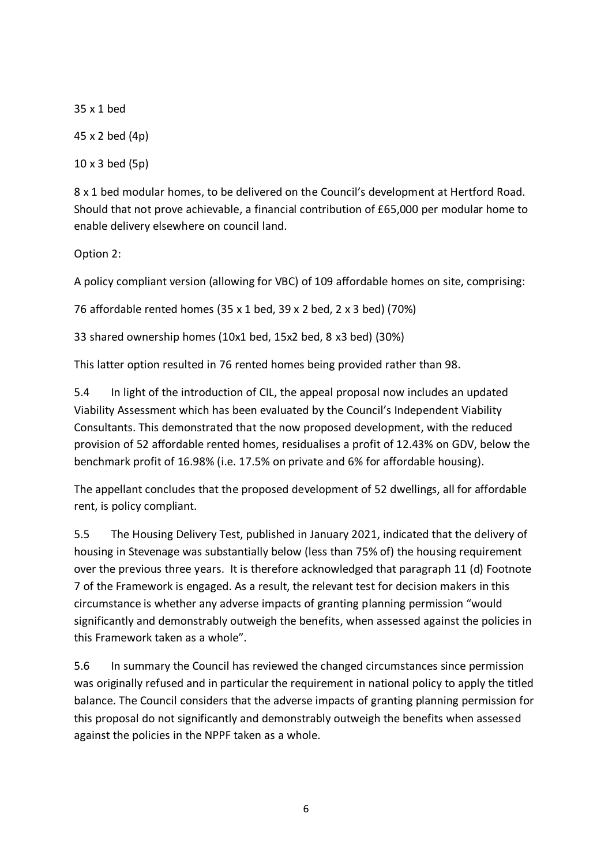35 x 1 bed 45 x 2 bed (4p)

10 x 3 bed (5p)

8 x 1 bed modular homes, to be delivered on the Council's development at Hertford Road. Should that not prove achievable, a financial contribution of £65,000 per modular home to enable delivery elsewhere on council land.

Option 2:

A policy compliant version (allowing for VBC) of 109 affordable homes on site, comprising:

76 affordable rented homes (35 x 1 bed, 39 x 2 bed, 2 x 3 bed) (70%)

33 shared ownership homes (10x1 bed, 15x2 bed, 8 x3 bed) (30%)

This latter option resulted in 76 rented homes being provided rather than 98.

5.4 In light of the introduction of CIL, the appeal proposal now includes an updated Viability Assessment which has been evaluated by the Council's Independent Viability Consultants. This demonstrated that the now proposed development, with the reduced provision of 52 affordable rented homes, residualises a profit of 12.43% on GDV, below the benchmark profit of 16.98% (i.e. 17.5% on private and 6% for affordable housing).

The appellant concludes that the proposed development of 52 dwellings, all for affordable rent, is policy compliant.

5.5 The Housing Delivery Test, published in January 2021, indicated that the delivery of housing in Stevenage was substantially below (less than 75% of) the housing requirement over the previous three years. It is therefore acknowledged that paragraph 11 (d) Footnote 7 of the Framework is engaged. As a result, the relevant test for decision makers in this circumstance is whether any adverse impacts of granting planning permission "would significantly and demonstrably outweigh the benefits, when assessed against the policies in this Framework taken as a whole".

5.6 In summary the Council has reviewed the changed circumstances since permission was originally refused and in particular the requirement in national policy to apply the titled balance. The Council considers that the adverse impacts of granting planning permission for this proposal do not significantly and demonstrably outweigh the benefits when assessed against the policies in the NPPF taken as a whole.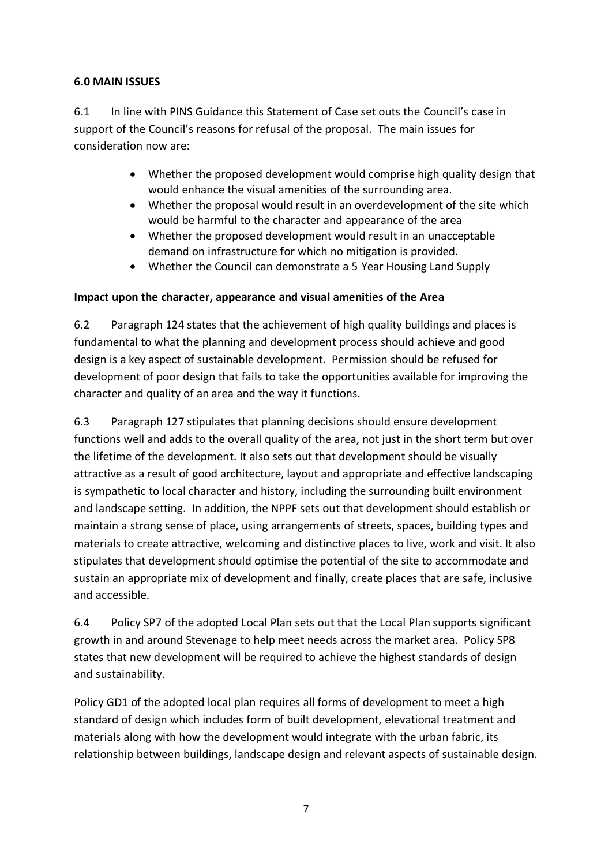### **6.0 MAIN ISSUES**

6.1 In line with PINS Guidance this Statement of Case set outs the Council's case in support of the Council's reasons for refusal of the proposal. The main issues for consideration now are:

- Whether the proposed development would comprise high quality design that would enhance the visual amenities of the surrounding area.
- Whether the proposal would result in an overdevelopment of the site which would be harmful to the character and appearance of the area
- Whether the proposed development would result in an unacceptable demand on infrastructure for which no mitigation is provided.
- Whether the Council can demonstrate a 5 Year Housing Land Supply

#### **Impact upon the character, appearance and visual amenities of the Area**

6.2 Paragraph 124 states that the achievement of high quality buildings and places is fundamental to what the planning and development process should achieve and good design is a key aspect of sustainable development. Permission should be refused for development of poor design that fails to take the opportunities available for improving the character and quality of an area and the way it functions.

6.3 Paragraph 127 stipulates that planning decisions should ensure development functions well and adds to the overall quality of the area, not just in the short term but over the lifetime of the development. It also sets out that development should be visually attractive as a result of good architecture, layout and appropriate and effective landscaping is sympathetic to local character and history, including the surrounding built environment and landscape setting. In addition, the NPPF sets out that development should establish or maintain a strong sense of place, using arrangements of streets, spaces, building types and materials to create attractive, welcoming and distinctive places to live, work and visit. It also stipulates that development should optimise the potential of the site to accommodate and sustain an appropriate mix of development and finally, create places that are safe, inclusive and accessible.

6.4 Policy SP7 of the adopted Local Plan sets out that the Local Plan supports significant growth in and around Stevenage to help meet needs across the market area. Policy SP8 states that new development will be required to achieve the highest standards of design and sustainability.

Policy GD1 of the adopted local plan requires all forms of development to meet a high standard of design which includes form of built development, elevational treatment and materials along with how the development would integrate with the urban fabric, its relationship between buildings, landscape design and relevant aspects of sustainable design.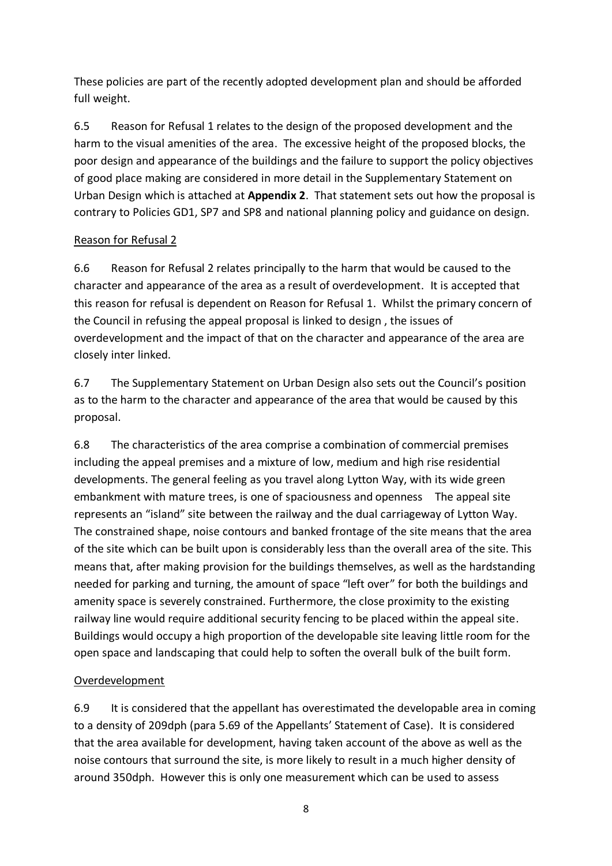These policies are part of the recently adopted development plan and should be afforded full weight.

6.5 Reason for Refusal 1 relates to the design of the proposed development and the harm to the visual amenities of the area. The excessive height of the proposed blocks, the poor design and appearance of the buildings and the failure to support the policy objectives of good place making are considered in more detail in the Supplementary Statement on Urban Design which is attached at **Appendix 2**. That statement sets out how the proposal is contrary to Policies GD1, SP7 and SP8 and national planning policy and guidance on design.

### Reason for Refusal 2

6.6 Reason for Refusal 2 relates principally to the harm that would be caused to the character and appearance of the area as a result of overdevelopment. It is accepted that this reason for refusal is dependent on Reason for Refusal 1. Whilst the primary concern of the Council in refusing the appeal proposal is linked to design , the issues of overdevelopment and the impact of that on the character and appearance of the area are closely inter linked.

6.7 The Supplementary Statement on Urban Design also sets out the Council's position as to the harm to the character and appearance of the area that would be caused by this proposal.

6.8 The characteristics of the area comprise a combination of commercial premises including the appeal premises and a mixture of low, medium and high rise residential developments. The general feeling as you travel along Lytton Way, with its wide green embankment with mature trees, is one of spaciousness and openness The appeal site represents an "island" site between the railway and the dual carriageway of Lytton Way. The constrained shape, noise contours and banked frontage of the site means that the area of the site which can be built upon is considerably less than the overall area of the site. This means that, after making provision for the buildings themselves, as well as the hardstanding needed for parking and turning, the amount of space "left over" for both the buildings and amenity space is severely constrained. Furthermore, the close proximity to the existing railway line would require additional security fencing to be placed within the appeal site. Buildings would occupy a high proportion of the developable site leaving little room for the open space and landscaping that could help to soften the overall bulk of the built form.

## Overdevelopment

6.9 It is considered that the appellant has overestimated the developable area in coming to a density of 209dph (para 5.69 of the Appellants' Statement of Case). It is considered that the area available for development, having taken account of the above as well as the noise contours that surround the site, is more likely to result in a much higher density of around 350dph. However this is only one measurement which can be used to assess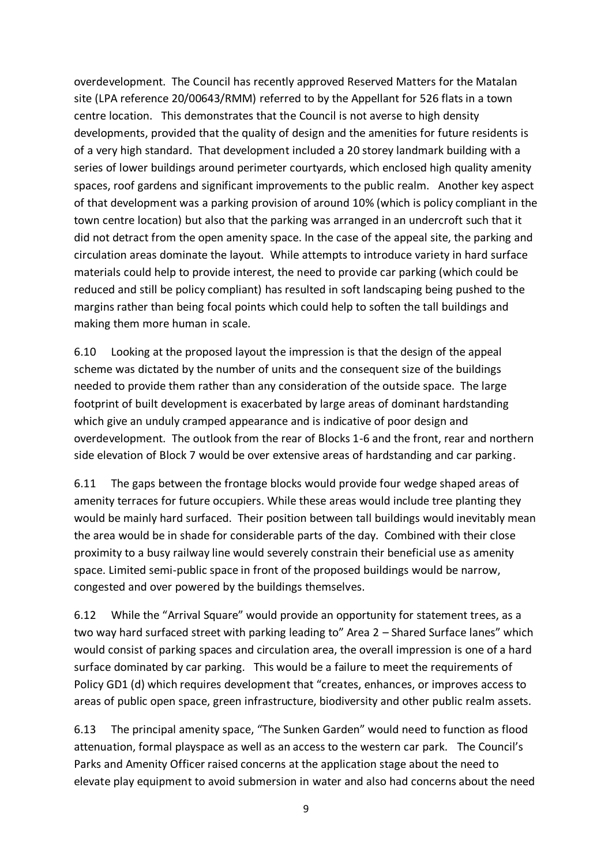overdevelopment. The Council has recently approved Reserved Matters for the Matalan site (LPA reference 20/00643/RMM) referred to by the Appellant for 526 flats in a town centre location. This demonstrates that the Council is not averse to high density developments, provided that the quality of design and the amenities for future residents is of a very high standard. That development included a 20 storey landmark building with a series of lower buildings around perimeter courtyards, which enclosed high quality amenity spaces, roof gardens and significant improvements to the public realm. Another key aspect of that development was a parking provision of around 10% (which is policy compliant in the town centre location) but also that the parking was arranged in an undercroft such that it did not detract from the open amenity space. In the case of the appeal site, the parking and circulation areas dominate the layout. While attempts to introduce variety in hard surface materials could help to provide interest, the need to provide car parking (which could be reduced and still be policy compliant) has resulted in soft landscaping being pushed to the margins rather than being focal points which could help to soften the tall buildings and making them more human in scale.

6.10 Looking at the proposed layout the impression is that the design of the appeal scheme was dictated by the number of units and the consequent size of the buildings needed to provide them rather than any consideration of the outside space. The large footprint of built development is exacerbated by large areas of dominant hardstanding which give an unduly cramped appearance and is indicative of poor design and overdevelopment. The outlook from the rear of Blocks 1-6 and the front, rear and northern side elevation of Block 7 would be over extensive areas of hardstanding and car parking.

6.11 The gaps between the frontage blocks would provide four wedge shaped areas of amenity terraces for future occupiers. While these areas would include tree planting they would be mainly hard surfaced. Their position between tall buildings would inevitably mean the area would be in shade for considerable parts of the day. Combined with their close proximity to a busy railway line would severely constrain their beneficial use as amenity space. Limited semi-public space in front of the proposed buildings would be narrow, congested and over powered by the buildings themselves.

6.12 While the "Arrival Square" would provide an opportunity for statement trees, as a two way hard surfaced street with parking leading to" Area 2 – Shared Surface lanes" which would consist of parking spaces and circulation area, the overall impression is one of a hard surface dominated by car parking. This would be a failure to meet the requirements of Policy GD1 (d) which requires development that "creates, enhances, or improves access to areas of public open space, green infrastructure, biodiversity and other public realm assets.

6.13 The principal amenity space, "The Sunken Garden" would need to function as flood attenuation, formal playspace as well as an access to the western car park. The Council's Parks and Amenity Officer raised concerns at the application stage about the need to elevate play equipment to avoid submersion in water and also had concerns about the need

9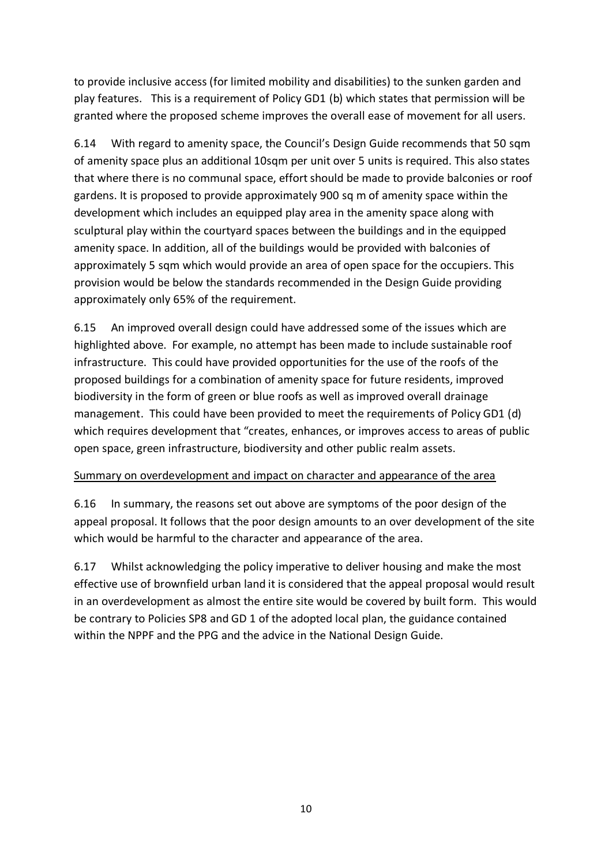to provide inclusive access (for limited mobility and disabilities) to the sunken garden and play features. This is a requirement of Policy GD1 (b) which states that permission will be granted where the proposed scheme improves the overall ease of movement for all users.

6.14 With regard to amenity space, the Council's Design Guide recommends that 50 sqm of amenity space plus an additional 10sqm per unit over 5 units is required. This also states that where there is no communal space, effort should be made to provide balconies or roof gardens. It is proposed to provide approximately 900 sq m of amenity space within the development which includes an equipped play area in the amenity space along with sculptural play within the courtyard spaces between the buildings and in the equipped amenity space. In addition, all of the buildings would be provided with balconies of approximately 5 sqm which would provide an area of open space for the occupiers. This provision would be below the standards recommended in the Design Guide providing approximately only 65% of the requirement.

6.15 An improved overall design could have addressed some of the issues which are highlighted above. For example, no attempt has been made to include sustainable roof infrastructure. This could have provided opportunities for the use of the roofs of the proposed buildings for a combination of amenity space for future residents, improved biodiversity in the form of green or blue roofs as well as improved overall drainage management. This could have been provided to meet the requirements of Policy GD1 (d) which requires development that "creates, enhances, or improves access to areas of public open space, green infrastructure, biodiversity and other public realm assets.

#### Summary on overdevelopment and impact on character and appearance of the area

6.16 In summary, the reasons set out above are symptoms of the poor design of the appeal proposal. It follows that the poor design amounts to an over development of the site which would be harmful to the character and appearance of the area.

6.17 Whilst acknowledging the policy imperative to deliver housing and make the most effective use of brownfield urban land it is considered that the appeal proposal would result in an overdevelopment as almost the entire site would be covered by built form. This would be contrary to Policies SP8 and GD 1 of the adopted local plan, the guidance contained within the NPPF and the PPG and the advice in the National Design Guide.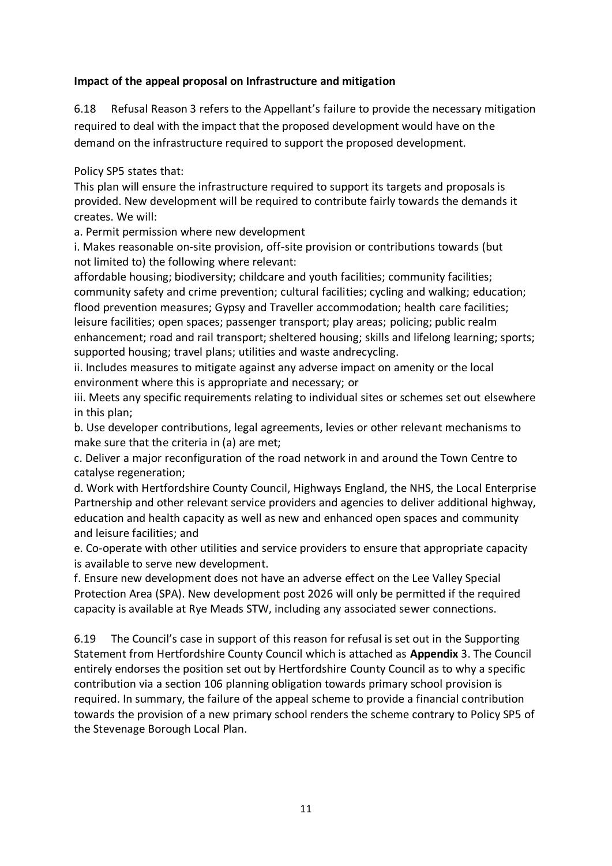#### **Impact of the appeal proposal on Infrastructure and mitigation**

6.18 Refusal Reason 3 refers to the Appellant's failure to provide the necessary mitigation required to deal with the impact that the proposed development would have on the demand on the infrastructure required to support the proposed development.

Policy SP5 states that:

This plan will ensure the infrastructure required to support its targets and proposals is provided. New development will be required to contribute fairly towards the demands it creates. We will:

a. Permit permission where new development

i. Makes reasonable on-site provision, off-site provision or contributions towards (but not limited to) the following where relevant:

affordable housing; biodiversity; childcare and youth facilities; community facilities; community safety and crime prevention; cultural facilities; cycling and walking; education; flood prevention measures; Gypsy and Traveller accommodation; health care facilities; leisure facilities; open spaces; passenger transport; play areas; policing; public realm enhancement; road and rail transport; sheltered housing; skills and lifelong learning; sports; supported housing; travel plans; utilities and waste andrecycling.

ii. Includes measures to mitigate against any adverse impact on amenity or the local environment where this is appropriate and necessary; or

iii. Meets any specific requirements relating to individual sites or schemes set out elsewhere in this plan;

b. Use developer contributions, legal agreements, levies or other relevant mechanisms to make sure that the criteria in (a) are met;

c. Deliver a major reconfiguration of the road network in and around the Town Centre to catalyse regeneration;

d. Work with Hertfordshire County Council, Highways England, the NHS, the Local Enterprise Partnership and other relevant service providers and agencies to deliver additional highway, education and health capacity as well as new and enhanced open spaces and community and leisure facilities; and

e. Co-operate with other utilities and service providers to ensure that appropriate capacity is available to serve new development.

f. Ensure new development does not have an adverse effect on the Lee Valley Special Protection Area (SPA). New development post 2026 will only be permitted if the required capacity is available at Rye Meads STW, including any associated sewer connections.

6.19 The Council's case in support of this reason for refusal is set out in the Supporting Statement from Hertfordshire County Council which is attached as **Appendix** 3. The Council entirely endorses the position set out by Hertfordshire County Council as to why a specific contribution via a section 106 planning obligation towards primary school provision is required. In summary, the failure of the appeal scheme to provide a financial contribution towards the provision of a new primary school renders the scheme contrary to Policy SP5 of the Stevenage Borough Local Plan.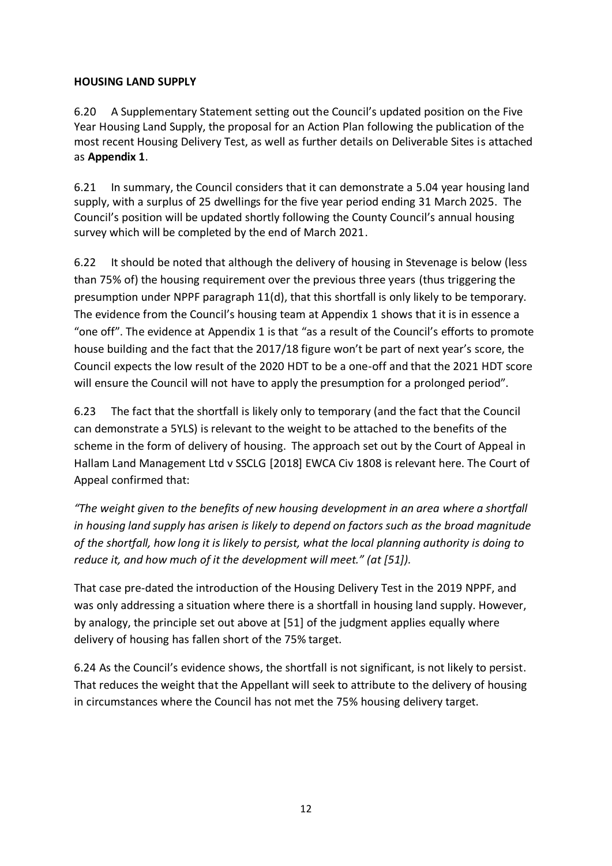### **HOUSING LAND SUPPLY**

6.20 A Supplementary Statement setting out the Council's updated position on the Five Year Housing Land Supply, the proposal for an Action Plan following the publication of the most recent Housing Delivery Test, as well as further details on Deliverable Sites is attached as **Appendix 1**.

6.21 In summary, the Council considers that it can demonstrate a 5.04 year housing land supply, with a surplus of 25 dwellings for the five year period ending 31 March 2025. The Council's position will be updated shortly following the County Council's annual housing survey which will be completed by the end of March 2021.

6.22 It should be noted that although the delivery of housing in Stevenage is below (less than 75% of) the housing requirement over the previous three years (thus triggering the presumption under NPPF paragraph 11(d), that this shortfall is only likely to be temporary. The evidence from the Council's housing team at Appendix 1 shows that it is in essence a "one off". The evidence at Appendix 1 is that "as a result of the Council's efforts to promote house building and the fact that the 2017/18 figure won't be part of next year's score, the Council expects the low result of the 2020 HDT to be a one-off and that the 2021 HDT score will ensure the Council will not have to apply the presumption for a prolonged period".

6.23 The fact that the shortfall is likely only to temporary (and the fact that the Council can demonstrate a 5YLS) is relevant to the weight to be attached to the benefits of the scheme in the form of delivery of housing. The approach set out by the Court of Appeal in Hallam Land Management Ltd v SSCLG [2018] EWCA Civ 1808 is relevant here. The Court of Appeal confirmed that:

*"The weight given to the benefits of new housing development in an area where a shortfall in housing land supply has arisen is likely to depend on factors such as the broad magnitude of the shortfall, how long it is likely to persist, what the local planning authority is doing to reduce it, and how much of it the development will meet." (at [51]).*

That case pre-dated the introduction of the Housing Delivery Test in the 2019 NPPF, and was only addressing a situation where there is a shortfall in housing land supply. However, by analogy, the principle set out above at [51] of the judgment applies equally where delivery of housing has fallen short of the 75% target.

6.24 As the Council's evidence shows, the shortfall is not significant, is not likely to persist. That reduces the weight that the Appellant will seek to attribute to the delivery of housing in circumstances where the Council has not met the 75% housing delivery target.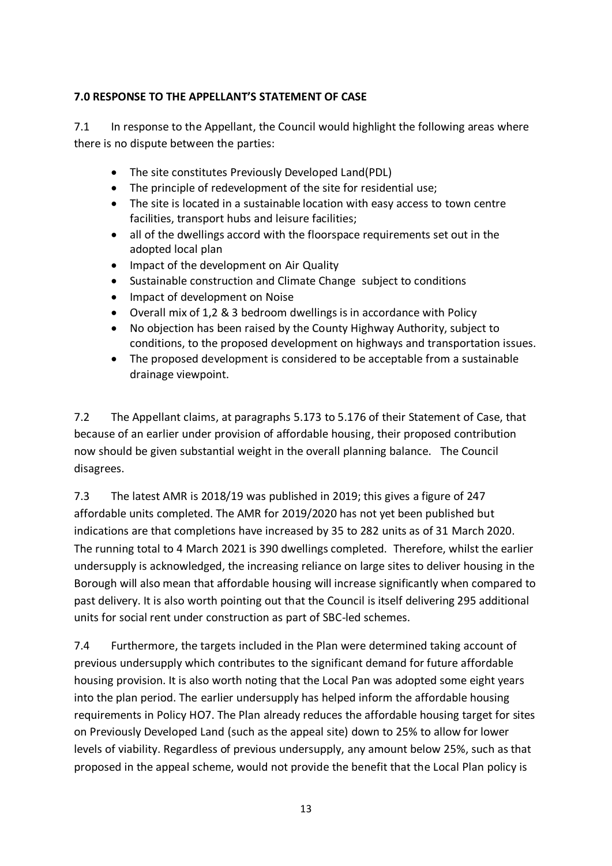### **7.0 RESPONSE TO THE APPELLANT'S STATEMENT OF CASE**

7.1 In response to the Appellant, the Council would highlight the following areas where there is no dispute between the parties:

- The site constitutes Previously Developed Land(PDL)
- The principle of redevelopment of the site for residential use;
- The site is located in a sustainable location with easy access to town centre facilities, transport hubs and leisure facilities;
- all of the dwellings accord with the floorspace requirements set out in the adopted local plan
- Impact of the development on Air Quality
- Sustainable construction and Climate Change subject to conditions
- Impact of development on Noise
- Overall mix of 1,2 & 3 bedroom dwellings is in accordance with Policy
- No objection has been raised by the County Highway Authority, subject to conditions, to the proposed development on highways and transportation issues.
- The proposed development is considered to be acceptable from a sustainable drainage viewpoint.

7.2 The Appellant claims, at paragraphs 5.173 to 5.176 of their Statement of Case, that because of an earlier under provision of affordable housing, their proposed contribution now should be given substantial weight in the overall planning balance. The Council disagrees.

7.3 The latest AMR is 2018/19 was published in 2019; this gives a figure of 247 affordable units completed. The AMR for 2019/2020 has not yet been published but indications are that completions have increased by 35 to 282 units as of 31 March 2020. The running total to 4 March 2021 is 390 dwellings completed. Therefore, whilst the earlier undersupply is acknowledged, the increasing reliance on large sites to deliver housing in the Borough will also mean that affordable housing will increase significantly when compared to past delivery. It is also worth pointing out that the Council is itself delivering 295 additional units for social rent under construction as part of SBC-led schemes.

7.4 Furthermore, the targets included in the Plan were determined taking account of previous undersupply which contributes to the significant demand for future affordable housing provision. It is also worth noting that the Local Pan was adopted some eight years into the plan period. The earlier undersupply has helped inform the affordable housing requirements in Policy HO7. The Plan already reduces the affordable housing target for sites on Previously Developed Land (such as the appeal site) down to 25% to allow for lower levels of viability. Regardless of previous undersupply, any amount below 25%, such as that proposed in the appeal scheme, would not provide the benefit that the Local Plan policy is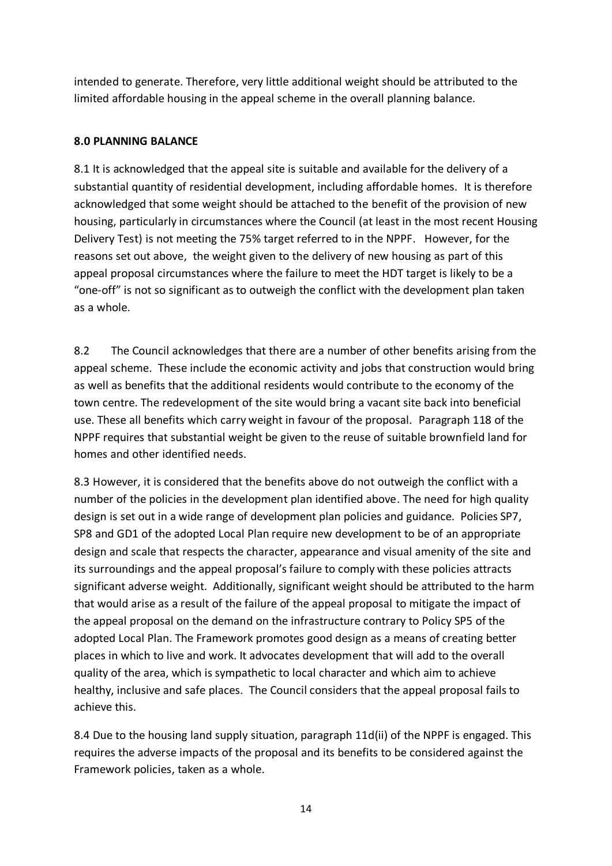intended to generate. Therefore, very little additional weight should be attributed to the limited affordable housing in the appeal scheme in the overall planning balance.

### **8.0 PLANNING BALANCE**

8.1 It is acknowledged that the appeal site is suitable and available for the delivery of a substantial quantity of residential development, including affordable homes. It is therefore acknowledged that some weight should be attached to the benefit of the provision of new housing, particularly in circumstances where the Council (at least in the most recent Housing Delivery Test) is not meeting the 75% target referred to in the NPPF. However, for the reasons set out above, the weight given to the delivery of new housing as part of this appeal proposal circumstances where the failure to meet the HDT target is likely to be a "one-off" is not so significant as to outweigh the conflict with the development plan taken as a whole.

8.2 The Council acknowledges that there are a number of other benefits arising from the appeal scheme. These include the economic activity and jobs that construction would bring as well as benefits that the additional residents would contribute to the economy of the town centre. The redevelopment of the site would bring a vacant site back into beneficial use. These all benefits which carry weight in favour of the proposal. Paragraph 118 of the NPPF requires that substantial weight be given to the reuse of suitable brownfield land for homes and other identified needs.

8.3 However, it is considered that the benefits above do not outweigh the conflict with a number of the policies in the development plan identified above. The need for high quality design is set out in a wide range of development plan policies and guidance. Policies SP7, SP8 and GD1 of the adopted Local Plan require new development to be of an appropriate design and scale that respects the character, appearance and visual amenity of the site and its surroundings and the appeal proposal's failure to comply with these policies attracts significant adverse weight. Additionally, significant weight should be attributed to the harm that would arise as a result of the failure of the appeal proposal to mitigate the impact of the appeal proposal on the demand on the infrastructure contrary to Policy SP5 of the adopted Local Plan. The Framework promotes good design as a means of creating better places in which to live and work. It advocates development that will add to the overall quality of the area, which is sympathetic to local character and which aim to achieve healthy, inclusive and safe places. The Council considers that the appeal proposal fails to achieve this.

8.4 Due to the housing land supply situation, paragraph 11d(ii) of the NPPF is engaged. This requires the adverse impacts of the proposal and its benefits to be considered against the Framework policies, taken as a whole.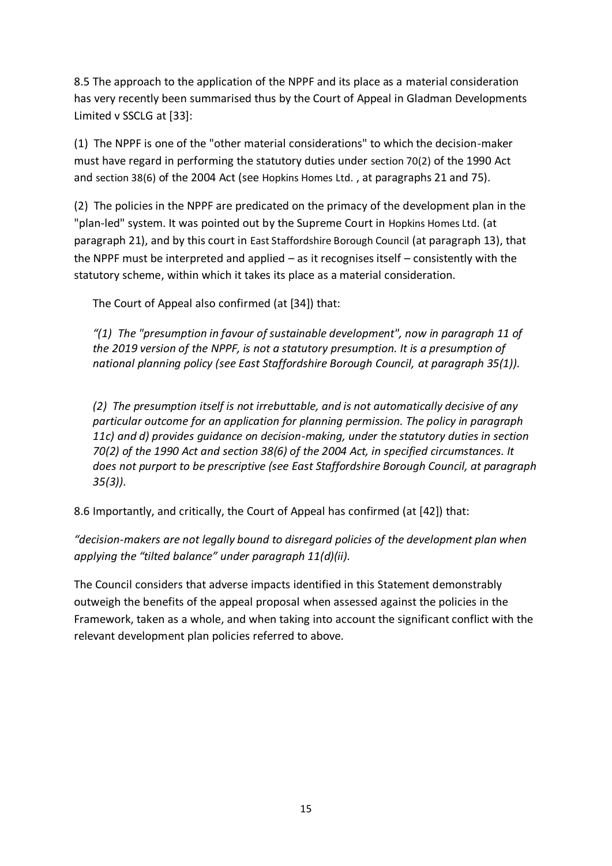8.5 The approach to the application of the NPPF and its place as a material consideration has very recently been summarised thus by the Court of Appeal in Gladman Developments Limited v SSCLG at [33]:

(1) The NPPF is one of the "other material considerations" to which the decision-maker must have regard in performing the statutory duties under [section 70\(2\)](https://uk.westlaw.com/Document/I113C8FC0E44C11DA8D70A0E70A78ED65/View/FullText.html?originationContext=document&transitionType=DocumentItem&contextData=(sc.DocLink)) of the 1990 Act and [section 38\(6\)](https://uk.westlaw.com/Document/I8A0D32F0E44811DA8D70A0E70A78ED65/View/FullText.html?originationContext=document&transitionType=DocumentItem&contextData=(sc.DocLink)) of the 2004 Act (see [Hopkins Homes Ltd.](https://uk.westlaw.com/Document/ID5BD51A0356611E78A33A55FC9E10EC7/View/FullText.html?originationContext=document&transitionType=DocumentItem&contextData=(sc.DocLink)) , at paragraphs 21 and 75).

(2) The policies in the NPPF are predicated on the primacy of the development plan in the "plan-led" system. It was pointed out by the Supreme Court in [Hopkins Homes Ltd.](https://uk.westlaw.com/Document/ID5BD51A0356611E78A33A55FC9E10EC7/View/FullText.html?originationContext=document&transitionType=DocumentItem&contextData=(sc.DocLink)) (at paragraph 21), and by this court in East [Staffordshire Borough Council](https://uk.westlaw.com/Document/IB65E76505FDB11E79C6791C58DF5FEB9/View/FullText.html?originationContext=document&transitionType=DocumentItem&contextData=(sc.DocLink)) (at paragraph 13), that the NPPF must be interpreted and applied – as it recognises itself – consistently with the statutory scheme, within which it takes its place as a material consideration.

The Court of Appeal also confirmed (at [34]) that:

*"(1) The "presumption in favour of sustainable development", now in paragraph 11 of the 2019 version of the NPPF, is not a statutory presumption. It is a presumption of national planning policy (see East Staffordshire Borough Council, at paragraph 35(1)).*

*(2) The presumption itself is not irrebuttable, and is not automatically decisive of any particular outcome for an application for planning permission. The policy in paragraph 11c) and d) provides guidance on decision-making, under the statutory duties in section 70(2) of the 1990 Act and section 38(6) of the 2004 Act, in specified circumstances. It does not purport to be prescriptive (see East Staffordshire Borough Council, at paragraph 35(3)).*

8.6 Importantly, and critically, the Court of Appeal has confirmed (at [42]) that:

*"decision-makers are not legally bound to disregard policies of the development plan when applying the "tilted balance" under paragraph 11(d)(ii).*

The Council considers that adverse impacts identified in this Statement demonstrably outweigh the benefits of the appeal proposal when assessed against the policies in the Framework, taken as a whole, and when taking into account the significant conflict with the relevant development plan policies referred to above.